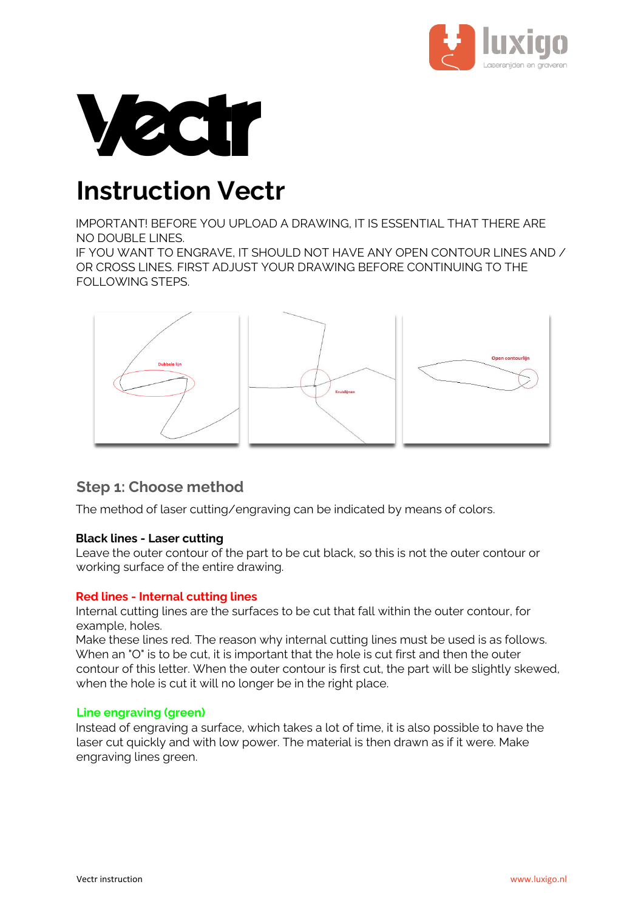



# **Instruction Vectr**

IMPORTANT! BEFORE YOU UPLOAD A DRAWING, IT IS ESSENTIAL THAT THERE ARE NO DOUBLE LINES.

IF YOU WANT TO ENGRAVE, IT SHOULD NOT HAVE ANY OPEN CONTOUR LINES AND / OR CROSS LINES. FIRST ADJUST YOUR DRAWING BEFORE CONTINUING TO THE FOLLOWING STEPS.



## **Step 1: Choose method**

The method of laser cutting/engraving can be indicated by means of colors.

#### **Black lines - Laser cutting**

Leave the outer contour of the part to be cut black, so this is not the outer contour or working surface of the entire drawing.

#### **Red lines - Internal cutting lines**

Internal cutting lines are the surfaces to be cut that fall within the outer contour, for example, holes.

Make these lines red. The reason why internal cutting lines must be used is as follows. When an "O" is to be cut, it is important that the hole is cut first and then the outer contour of this letter. When the outer contour is first cut, the part will be slightly skewed, when the hole is cut it will no longer be in the right place.

#### **Line engraving (green)**

Instead of engraving a surface, which takes a lot of time, it is also possible to have the laser cut quickly and with low power. The material is then drawn as if it were. Make engraving lines green.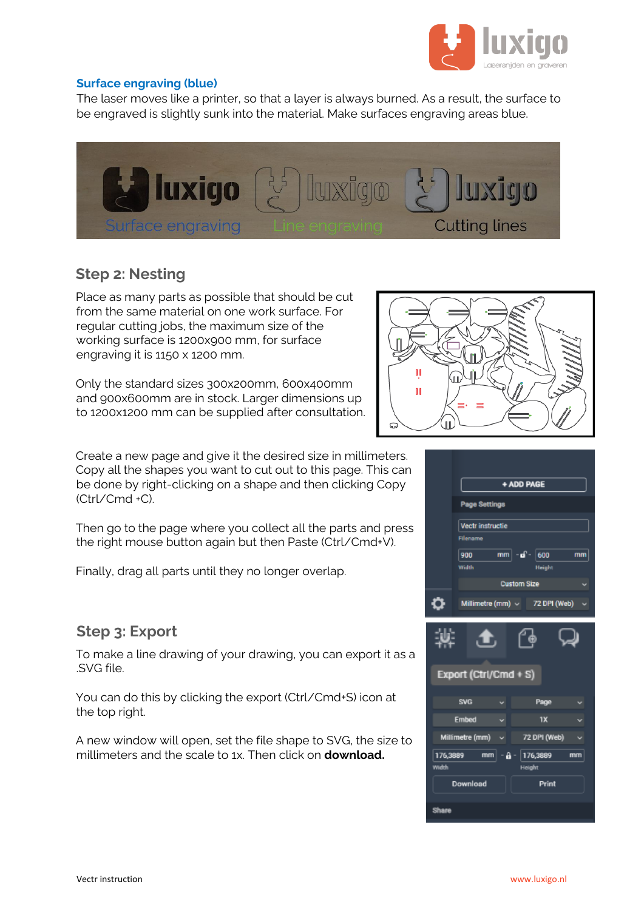

#### **Surface engraving (blue)**

The laser moves like a printer, so that a layer is always burned. As a result, the surface to be engraved is slightly sunk into the material. Make surfaces engraving areas blue.



### **Step 2: Nesting**

Place as many parts as possible that should be cut from the same material on one work surface. For regular cutting jobs, the maximum size of the working surface is 1200x900 mm, for surface engraving it is 1150 x 1200 mm.

Only the standard sizes 300x200mm, 600x400mm and 900x600mm are in stock. Larger dimensions up to 1200x1200 mm can be supplied after consultation.

Create a new page and give it the desired size in millimeters. Copy all the shapes you want to cut out to this page. This can be done by right-clicking on a shape and then clicking Copy (Ctrl/Cmd +C).

Then go to the page where you collect all the parts and press the right mouse button again but then Paste (Ctrl/Cmd+V).

Finally, drag all parts until they no longer overlap.

## **Step 3: Export**

To make a line drawing of your drawing, you can export it as a .SVG file.

You can do this by clicking the export (Ctrl/Cmd+S) icon at the top right.

A new window will open, set the file shape to SVG, the size to millimeters and the scale to 1x. Then click on **download.**